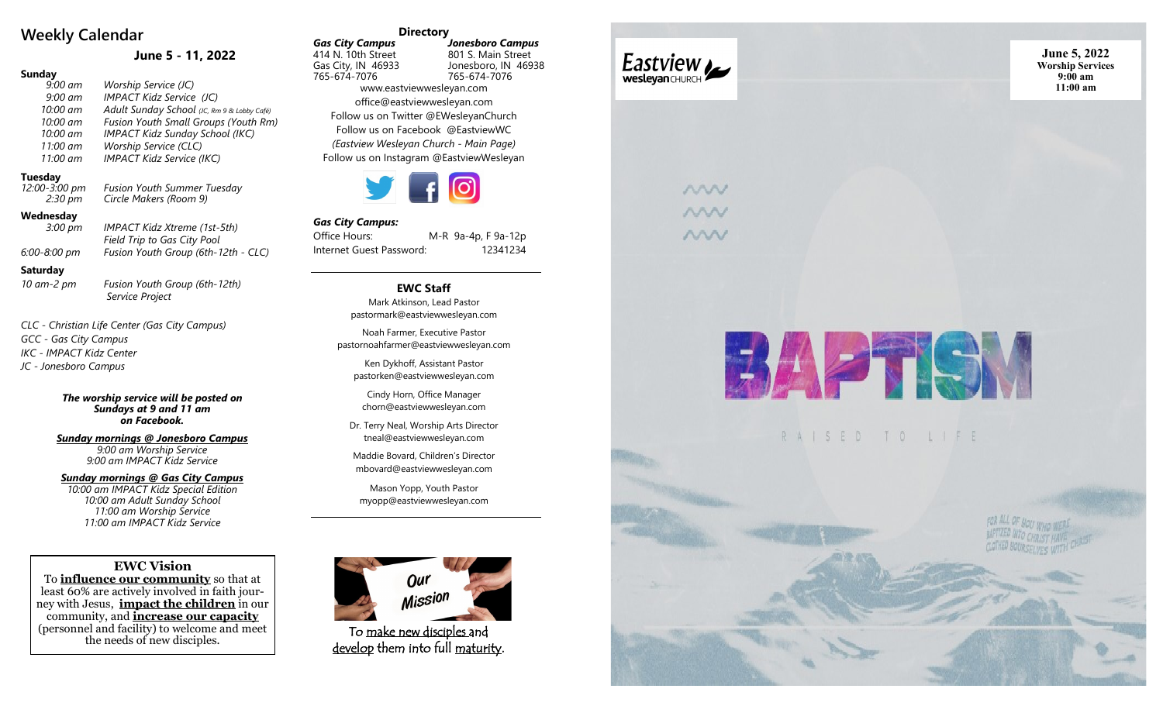# **Weekly Calendar**

# **June 5 - 11, 2022**

## **Sunday**

*9:00 am Worship Service (JC) 9:00 am IMPACT Kidz Service (JC) 10:00 am Adult Sunday School (JC, Rm 9 & Lobby Café) 10:00 am Fusion Youth Small Groups (Youth Rm) 10:00 am IMPACT Kidz Sunday School (IKC) 11:00 am Worship Service (CLC) 11:00 am IMPACT Kidz Service (IKC)*

## **Tuesday**

*12:00-3:00 pm*<br>2:30 pm *-3:00 pm Fusion Youth Summer Tuesday 2:30 pm Circle Makers (Room 9)*

### **Wednesday**

| <br>$3:00 \text{ pm}$ | IMPACT Kidz Xtreme (1st-5th)        |
|-----------------------|-------------------------------------|
|                       | Field Trip to Gas City Pool         |
| 8:00 pm               | Fusion Youth Group (6th-12th - CLC) |

#### **Saturday**

*-2 pm Fusion Youth Group (6th -12th) Service Project*

*CLC - Christian Life Center (Gas City Campus) GCC - Gas City Campus IKC - IMPACT Kidz Center JC - Jonesboro Campus*

> *The worship service will be posted on Sundays at 9 and 11 am on Facebook.*

*Sunday mornings @ Jonesboro Campus 9:00 am Worship Service 9:00 am IMPACT Kidz Service*

*Sunday mornings @ Gas City Campus*

*10:00 am IMPACT Kidz Special Edition 10:00 am Adult Sunday School 11:00 am Worship Service 11:00 am IMPACT Kidz Service*

## **EWC Vision**

To **influence our community** so that at least 60% are actively involved in faith journey with Jesus, **impact the children** in our community, and **increase our capacity** (personnel and facility) to welcome and meet the needs of new disciples.

#### **Directory**

*Gas City Campus Jonesboro Campus* 414 N. 10th Street 801 S. Main Street Jonesboro, IN 46938 765 -674 -7076 765 -674 -7076 www.eastviewwesleyan.com office@eastviewwesleyan.com Follow us on Twitter @EWesleyanChurch Follow us on Facebook @EastviewWC *(Eastview Wesleyan Church - Main Page)* Follow us on Instagram @EastviewWesleyan



#### *Gas City Campus:*

Office Hours: M -R 9a -4p, F 9a -12p Internet Guest Password: 12341234

# **EWC Staff**

Mark Atkinson, Lead Pastor pastormark@eastviewwesleyan.com

Noah Farmer, Executive Pastor pastornoahfarmer@eastviewwesleyan.com

Ken Dykhoff, Assistant Pastor pastorken@eastviewwesleyan.com

Cindy Horn, Office Manager chorn@eastviewwesleyan.com

Dr. Terry Neal, Worship Arts Director tneal@eastviewwesleyan.com

Maddie Bovard, Children 's Director mbovard@eastviewwesleyan.com

Mason Yopp, Youth Pastor myopp@eastviewwesleyan.com



To make new disciples and <u>develop</u> them into full <u>maturity</u>.



WW nnn ww

**June 5, 2022 Worship Services 9:00 am 11:00 am**





*6:00 -8:00 pm Fusion Youth Group (6th*

*10 am*